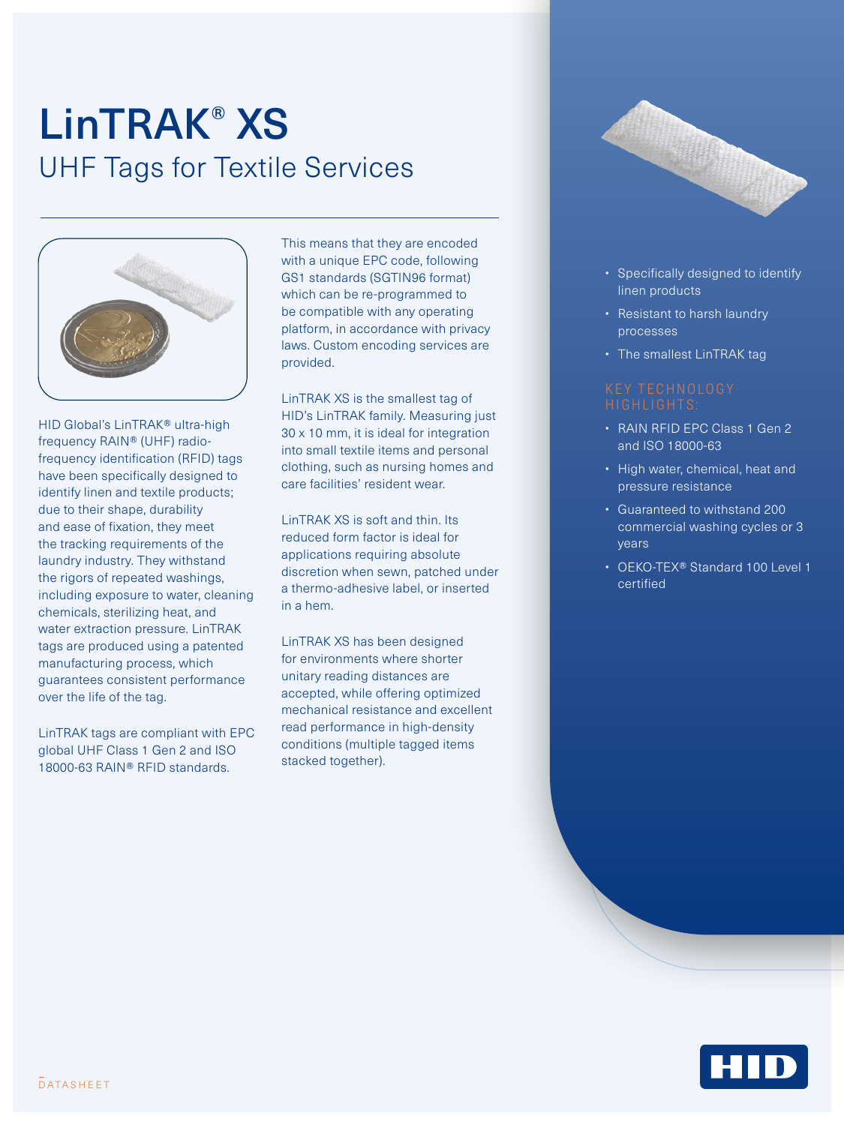## LinTRAK® XS UHF Tags for Textile Services



HID Global's LinTRAK® ultra-high frequency RAIN® (UHF) radiofrequency identification (RFID) tags have been specifically designed to identify linen and textile products; due to their shape, durability and ease of fixation, they meet the tracking requirements of the laundry industry. They withstand the rigors of repeated washings, including exposure to water, cleaning chemicals, sterilizing heat, and water extraction pressure. LinTRAK tags are produced using a patented manufacturing process, which guarantees consistent performance over the life of the tag.

LinTRAK tags are compliant with EPC global UHF Class 1 Gen 2 and ISO 18000-63 RAIN® RFID standards.

This means that they are encoded with a unique EPC code, following GS1 standards (SGTIN96 format) which can be re-programmed to be compatible with any operating platform, in accordance with privacy laws. Custom encoding services are provided.

LinTRAK XS is the smallest tag of HID's LinTRAK family. Measuring just 30 x 10 mm, it is ideal for integration into small textile items and personal clothing, such as nursing homes and care facilities' resident wear.

LinTRAK XS is soft and thin. Its reduced form factor is ideal for applications requiring absolute discretion when sewn, patched under a thermo-adhesive label, or inserted in a hem.

LinTRAK XS has been designed for environments where shorter unitary reading distances are accepted, while offering optimized mechanical resistance and excellent read performance in high-density conditions (multiple tagged items stacked together).



- Specifically designed to identify linen products
- Resistant to harsh laundry processes
- The smallest LinTRAK tag

- RAIN RFID EPC Class 1 Gen 2 and ISO 18000-63
- High water, chemical, heat and pressure resistance
- Guaranteed to withstand 200 commercial washing cycles or 3 years
- OEKO-TEX® Standard 100 Level 1 certified